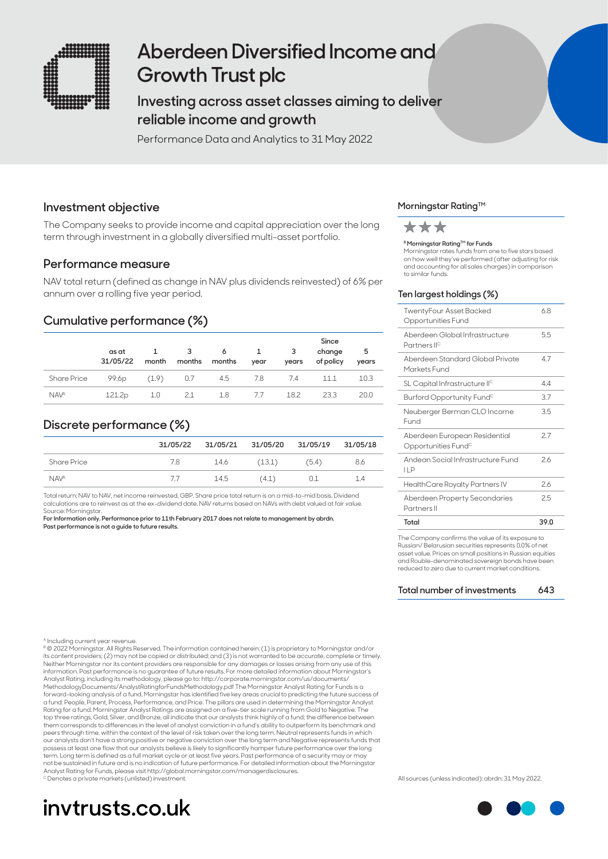

# **Aberdeen Diversified Income and Growth Trust plc**

# **Investing across asset classes aiming to deliver reliable income and growth**

Performance Data and Analytics to 31 May 2022

### **Investment objective**

The Company seeks to provide income and capital appreciation over the long term through investment in a globally diversified multi-asset portfolio.

### **Performance measure**

NAV total return (defined as change in NAV plus dividends reinvested) of 6% per annum over a rolling five year period.

## **Cumulative performance (%)**

|                    | as at<br>31/05/22 | month | 3<br>months | 6 1<br>months | year | -3<br>years | Since<br>change<br>of policy | 5<br>years |
|--------------------|-------------------|-------|-------------|---------------|------|-------------|------------------------------|------------|
| <b>Share Price</b> | 99.6 <sub>p</sub> | (1.9) | 0.7         | 4.5           | 7.8  | 7.4         | 11.1                         | 10.3       |
| <b>NAVA</b>        | 121.2p            | 1.0   | 2.1         | 1.8           | 7.7  | 18.2        | 233                          | 20.0       |

## **Discrete performance (%)**

|                    | 31/05/22 | 31/05/21 31/05/20 31/05/19 31/05/18 |        |       |     |
|--------------------|----------|-------------------------------------|--------|-------|-----|
| <b>Share Price</b> | 7.8      | 14.6                                | (13.1) | (5.4) | 8.6 |
| <b>NAVA</b>        | 77       | 14.5                                | (4.1)  | 0.1   | 1.4 |

Total return; NAV to NAV, net income reinvested, GBP. Share price total return is on a mid-to-mid basis. Dividend calculations are to reinvest as at the ex-dividend date. NAV returns based on NAVs with debt valued at fair value. Source: Morningstar.

**For Information only. Performance prior to 11th February 2017 does not relate to management by abrdn. Past performance is not a guide to future results.**

#### **Morningstar Rating™**



#### **B Morningstar Rating™ for Funds**

Morningstar rates funds from one to five stars based on how well they've performed (after adjusting for risk and accounting for all sales charges) in comparison to similar funds.

#### **Ten largest holdings (%)**

| Total                                                            | 39.0 |
|------------------------------------------------------------------|------|
| Aberdeen Property Secondaries<br>Partners II                     | 25   |
| HealthCare Royalty Partners IV                                   | 2.6  |
| Andean Social Infrastructure Fund<br>11P                         | 26   |
| Aberdeen European Residential<br>Opportunities Fund <sup>c</sup> | 2.7  |
| Neuberger Berman CLO Income<br>Fund                              | 3.5  |
| Burford Opportunity Fund <sup>c</sup>                            | 3.7  |
| SL Capital Infrastructure IIC                                    | 44   |
| Aberdeen Standard Global Private<br>Markets Fund                 | 47   |
| Aberdeen Global Infrastructure<br>Partners II <sup>c</sup>       | 5.5  |
| TwentyFour Asset Backed<br>Opportunities Fund                    | 68   |

The Company confirms the value of its expost Russian/ Belarusian securities represents 0.0% of net asset value. Prices on small positions in Russian equities and Rouble-denominated sovereign bonds have been reduced to zero due to current market conditions.

**Total number of investments 643**

ncluding current year revenue

B © 2022 Morningstar. All Rights Reserved. The information contained herein: (1) is proprietary to Morningstar and/or its content providers; (2) may not be copied or distributed; and (3) is not warranted to be accurate, complete or timely. Neither Morningstar nor its content providers are responsible for any damages or losses arising from any use of this information. Past performance is no guarantee of future results. For more detailed information about Morningstar's<br>Analyst Rating, including its methodology, please go to: http://corporate.morningstar.com/us/documents/<br>Met forward-looking analysis of a fund. Morningstar has identified five key areas crucial to predicting the future success of<br>a fund: People, Parent, Process, Performance, and Price. The pillars are used in determining the Mor Rating for a fund. Morningstar Analyst Ratings are assigned on a five-tier scale running from Gold to Negative. The top three ratings, Gold, Silver, and Bronze, all indicate that our analysts think highly of a fund; the difference between<br>them corresponds to differences in the level of analyst conviction in a fund's ability to outperfor peers through time, within the context of the level of risk taken over the long term. Neutral represents funds in which our analysts don't have a strong positive or negative conviction over the long term and Negative represents funds that<br>possess at least one flaw that our analysts believe is likely to significantly hamper future performanc term. Long term is defined as a full market cycle or at least five years. Past performance of a security may or may not be sustained in future and is no indication of future performance. For detailed information about the Morningstar Analyst Rating for Funds, please visit http://global.morningstar.com/managerdisclosures. <sup>c</sup> Denotes a private markets (unlisted) investment.



All sources (unless indicated): abrdn: 31 May 2022.

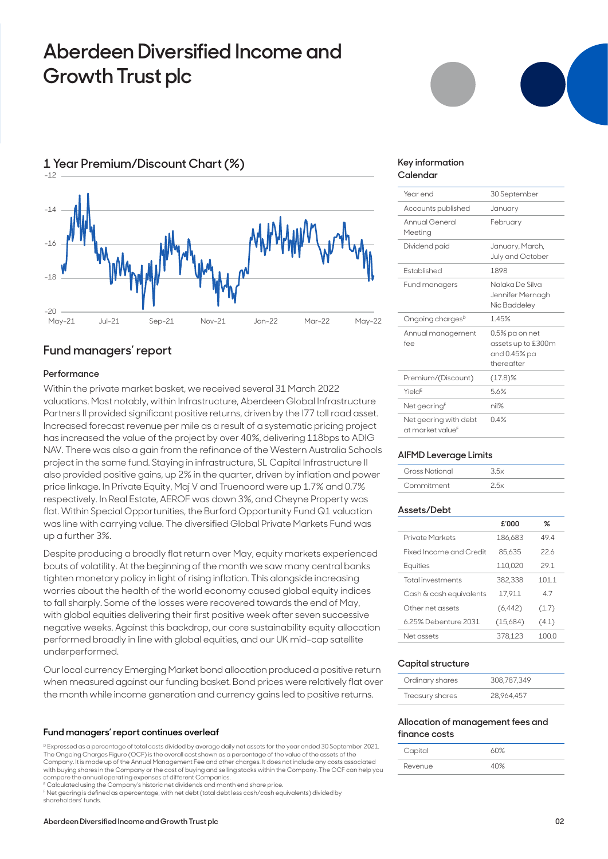# **Aberdeen Diversified Income and Growth Trust plc**



## **Fund managers' report**

#### **Performance**

Within the private market basket, we received several 31 March 2022 valuations. Most notably, within Infrastructure, Aberdeen Global Infrastructure Partners II provided significant positive returns, driven by the I77 toll road asset. Increased forecast revenue per mile as a result of a systematic pricing project has increased the value of the project by over 40%, delivering 118bps to ADIG NAV. There was also a gain from the refinance of the Western Australia Schools project in the same fund. Staying in infrastructure, SL Capital Infrastructure II also provided positive gains, up 2% in the quarter, driven by inflation and power price linkage. In Private Equity, Maj V and Truenoord were up 1.7% and 0.7% respectively. In Real Estate, AEROF was down 3%, and Cheyne Property was flat. Within Special Opportunities, the Burford Opportunity Fund Q1 valuation was line with carrying value. The diversified Global Private Markets Fund was up a further 3%.

Despite producing a broadly flat return over May, equity markets experienced bouts of volatility. At the beginning of the month we saw many central banks tighten monetary policy in light of rising inflation. This alongside increasing worries about the health of the world economy caused global equity indices to fall sharply. Some of the losses were recovered towards the end of May, with global equities delivering their first positive week after seven successive negative weeks. Against this backdrop, our core sustainability equity allocation performed broadly in line with global equities, and our UK mid-cap satellite underperformed.

Our local currency Emerging Market bond allocation produced a positive return when measured against our funding basket. Bond prices were relatively flat over the month while income generation and currency gains led to positive returns.

#### **Fund managers' report continues overleaf**

D Expressed as a percentage of total costs divided by average daily net assets for the year ended 30 September 2021. The Ongoing Charges Figure (OCF) is the overall cost shown as a percentage of the value of the assets of the Company. It is made up of the Annual Management Fee and other charges. It does not include any costs associated with buying shares in the Company or the cost of buying and selling stocks within the Company. The OCF can help you compare the annual operating expenses of different Companies. E Calculated using the Company's historic net dividends and month end share price.

F Net gearing is defined as a percentage, with net debt (total debt less cash/cash equivalents) divided by shareholders' funds.

#### **Key information Calendar**

| Year end                                              | 30 September                                                       |
|-------------------------------------------------------|--------------------------------------------------------------------|
| Accounts published                                    | January                                                            |
| <b>Annual General</b><br>Meeting                      | February                                                           |
| Dividend paid                                         | January, March,<br>July and October                                |
| <b>Established</b>                                    | 1898                                                               |
| Fund managers                                         | Nalaka De Silva<br>Jennifer Mernagh<br>Nic Baddeley                |
| Ongoing charges <sup>D</sup>                          | 1.45%                                                              |
| Annual management<br>fee                              | 0.5% pa on net<br>assets up to £300m<br>and 0.45% pa<br>thereafter |
| Premium/(Discount)                                    | $(17.8)$ %                                                         |
| Yield <sup>E</sup>                                    | 56%                                                                |
| Net gearing <sup>F</sup>                              | nil%                                                               |
| Net gearing with debt<br>at market value <sup>F</sup> | 0.4%                                                               |
|                                                       |                                                                    |

#### **AIFMD Leverage Limits**

| Gross Notional |  |
|----------------|--|
| Commitment     |  |

#### **Assets/Debt**

|                          | ይ ወሀ     | ℅     |
|--------------------------|----------|-------|
| Private Markets          | 186,683  | 494   |
| Fixed Income and Credit  | 85.635   | 22.6  |
| Equities                 | 110.020  | 291   |
| <b>Total investments</b> | 382.338  | 1011  |
| Cash & cash equivalents  | 17.911   | 4.7   |
| Other net assets         | (6, 442) | (1.7) |
| 6.25% Debenture 2031     | (15,684) | (4.1) |
| Net assets               | 378.123  | 100.0 |

#### **Capital structure**

| Ordinary shares | 308.787.349 |
|-----------------|-------------|
| Treasury shares | 28,964,457  |

#### **Allocation of management fees and finance costs**

| Capital | ለበ% |
|---------|-----|
| Revenue |     |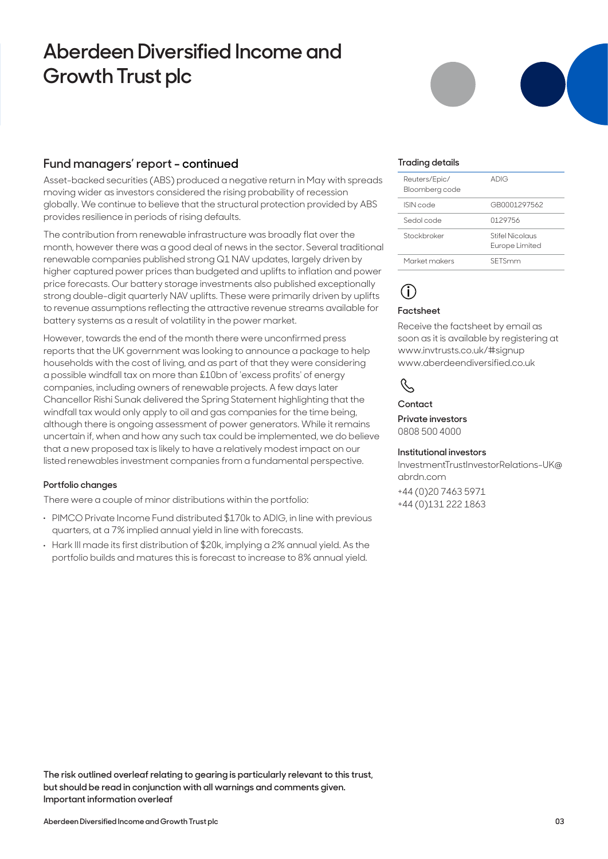# **Aberdeen Diversified Income and Growth Trust plc**

## **Fund managers' report - continued**

Asset-backed securities (ABS) produced a negative return in May with spreads moving wider as investors considered the rising probability of recession globally. We continue to believe that the structural protection provided by ABS provides resilience in periods of rising defaults.

The contribution from renewable infrastructure was broadly flat over the month, however there was a good deal of news in the sector. Several traditional renewable companies published strong Q1 NAV updates, largely driven by higher captured power prices than budgeted and uplifts to inflation and power price forecasts. Our battery storage investments also published exceptionally strong double-digit quarterly NAV uplifts. These were primarily driven by uplifts to revenue assumptions reflecting the attractive revenue streams available for battery systems as a result of volatility in the power market.

However, towards the end of the month there were unconfirmed press reports that the UK government was looking to announce a package to help households with the cost of living, and as part of that they were considering a possible windfall tax on more than £10bn of 'excess profits' of energy companies, including owners of renewable projects. A few days later Chancellor Rishi Sunak delivered the Spring Statement highlighting that the windfall tax would only apply to oil and gas companies for the time being, although there is ongoing assessment of power generators. While it remains uncertain if, when and how any such tax could be implemented, we do believe that a new proposed tax is likely to have a relatively modest impact on our listed renewables investment companies from a fundamental perspective.

#### **Portfolio changes**

There were a couple of minor distributions within the portfolio:

- **.** PIMCO Private Income Fund distributed \$170k to ADIG, in line with previous quarters, at a 7% implied annual yield in line with forecasts.
- **.** Hark III made its first distribution of \$20k, implying a 2% annual yield. As the portfolio builds and matures this is forecast to increase to 8% annual yield.

#### **Trading details**

| Reuters/Epic/<br>Bloomberg code | ADIG                              |
|---------------------------------|-----------------------------------|
| ISIN code                       | GB0001297562                      |
| Sedol code                      | 0129756                           |
| Stockbroker                     | Stifel Nicolaus<br>Europe Limited |
| Market makers                   | SETSmm                            |

# **i**

#### **Factsheet**

Receive the factsheet by email as soon as it is available by registering at www.invtrusts.co.uk/#signup www.aberdeendiversified.co.uk

# R,

**Contact**

**Private investors**  0808 500 4000

#### **Institutional investors**

InvestmentTrustInvestorRelations-UK@ abrdn.com

+44 (0)20 7463 5971 +44 (0)131 222 1863

**The risk outlined overleaf relating to gearing is particularly relevant to this trust, but should be read in conjunction with all warnings and comments given. Important information overleaf**